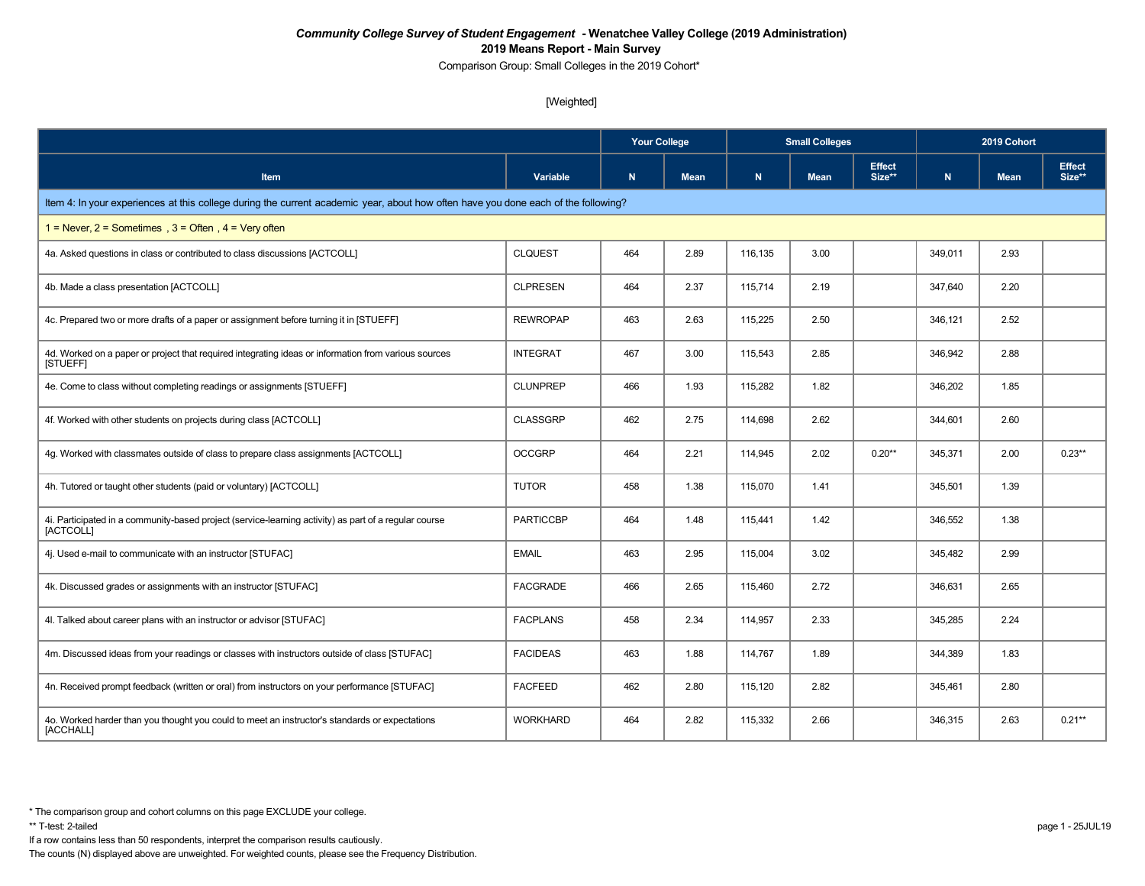Comparison Group: Small Colleges in the 2019 Cohort\*

### [Weighted]

|                                                                                                                                    |                  |           |             | <b>Small Colleges</b> |             |                         | 2019 Cohort |             |                         |
|------------------------------------------------------------------------------------------------------------------------------------|------------------|-----------|-------------|-----------------------|-------------|-------------------------|-------------|-------------|-------------------------|
| Item                                                                                                                               | Variable         | ${\bf N}$ | <b>Mean</b> | $\mathbf N$           | <b>Mean</b> | <b>Effect</b><br>Size** | N           | <b>Mean</b> | <b>Effect</b><br>Size** |
| Item 4: In your experiences at this college during the current academic year, about how often have you done each of the following? |                  |           |             |                       |             |                         |             |             |                         |
| $1 =$ Never, $2 =$ Sometimes, $3 =$ Often, $4 =$ Very often                                                                        |                  |           |             |                       |             |                         |             |             |                         |
| 4a. Asked questions in class or contributed to class discussions [ACTCOLL]                                                         | <b>CLQUEST</b>   | 464       | 2.89        | 116,135               | 3.00        |                         | 349,011     | 2.93        |                         |
| 4b. Made a class presentation [ACTCOLL]                                                                                            | <b>CLPRESEN</b>  | 464       | 2.37        | 115,714               | 2.19        |                         | 347,640     | 2.20        |                         |
| 4c. Prepared two or more drafts of a paper or assignment before turning it in [STUEFF]                                             | <b>REWROPAP</b>  | 463       | 2.63        | 115,225               | 2.50        |                         | 346,121     | 2.52        |                         |
| 4d. Worked on a paper or project that required integrating ideas or information from various sources<br>[STUEFF]                   | <b>INTEGRAT</b>  | 467       | 3.00        | 115,543               | 2.85        |                         | 346,942     | 2.88        |                         |
| 4e. Come to class without completing readings or assignments [STUEFF]                                                              | <b>CLUNPREP</b>  | 466       | 1.93        | 115,282               | 1.82        |                         | 346,202     | 1.85        |                         |
| 4f. Worked with other students on projects during class [ACTCOLL]                                                                  | <b>CLASSGRP</b>  | 462       | 2.75        | 114,698               | 2.62        |                         | 344,601     | 2.60        |                         |
| 4g. Worked with classmates outside of class to prepare class assignments [ACTCOLL]                                                 | <b>OCCGRP</b>    | 464       | 2.21        | 114,945               | 2.02        | $0.20**$                | 345.371     | 2.00        | $0.23**$                |
| 4h. Tutored or taught other students (paid or voluntary) [ACTCOLL]                                                                 | <b>TUTOR</b>     | 458       | 1.38        | 115,070               | 1.41        |                         | 345,501     | 1.39        |                         |
| 4i. Participated in a community-based project (service-learning activity) as part of a regular course<br>[ACTCOLL]                 | <b>PARTICCBP</b> | 464       | 1.48        | 115,441               | 1.42        |                         | 346,552     | 1.38        |                         |
| 4j. Used e-mail to communicate with an instructor [STUFAC]                                                                         | <b>EMAIL</b>     | 463       | 2.95        | 115,004               | 3.02        |                         | 345,482     | 2.99        |                         |
| 4k. Discussed grades or assignments with an instructor [STUFAC]                                                                    | <b>FACGRADE</b>  | 466       | 2.65        | 115,460               | 2.72        |                         | 346,631     | 2.65        |                         |
| 4I. Talked about career plans with an instructor or advisor [STUFAC]                                                               | <b>FACPLANS</b>  | 458       | 2.34        | 114,957               | 2.33        |                         | 345,285     | 2.24        |                         |
| 4m. Discussed ideas from your readings or classes with instructors outside of class [STUFAC]                                       | <b>FACIDEAS</b>  | 463       | 1.88        | 114,767               | 1.89        |                         | 344,389     | 1.83        |                         |
| 4n. Received prompt feedback (written or oral) from instructors on your performance [STUFAC]                                       | <b>FACFEED</b>   | 462       | 2.80        | 115,120               | 2.82        |                         | 345,461     | 2.80        |                         |
| 4o. Worked harder than you thought you could to meet an instructor's standards or expectations<br>[ACCHALL]                        | <b>WORKHARD</b>  | 464       | 2.82        | 115,332               | 2.66        |                         | 346,315     | 2.63        | $0.21**$                |

- If a row contains less than 50 respondents, interpret the comparison results cautiously.
- The counts (N) displayed above are unweighted. For weighted counts, please see the Frequency Distribution.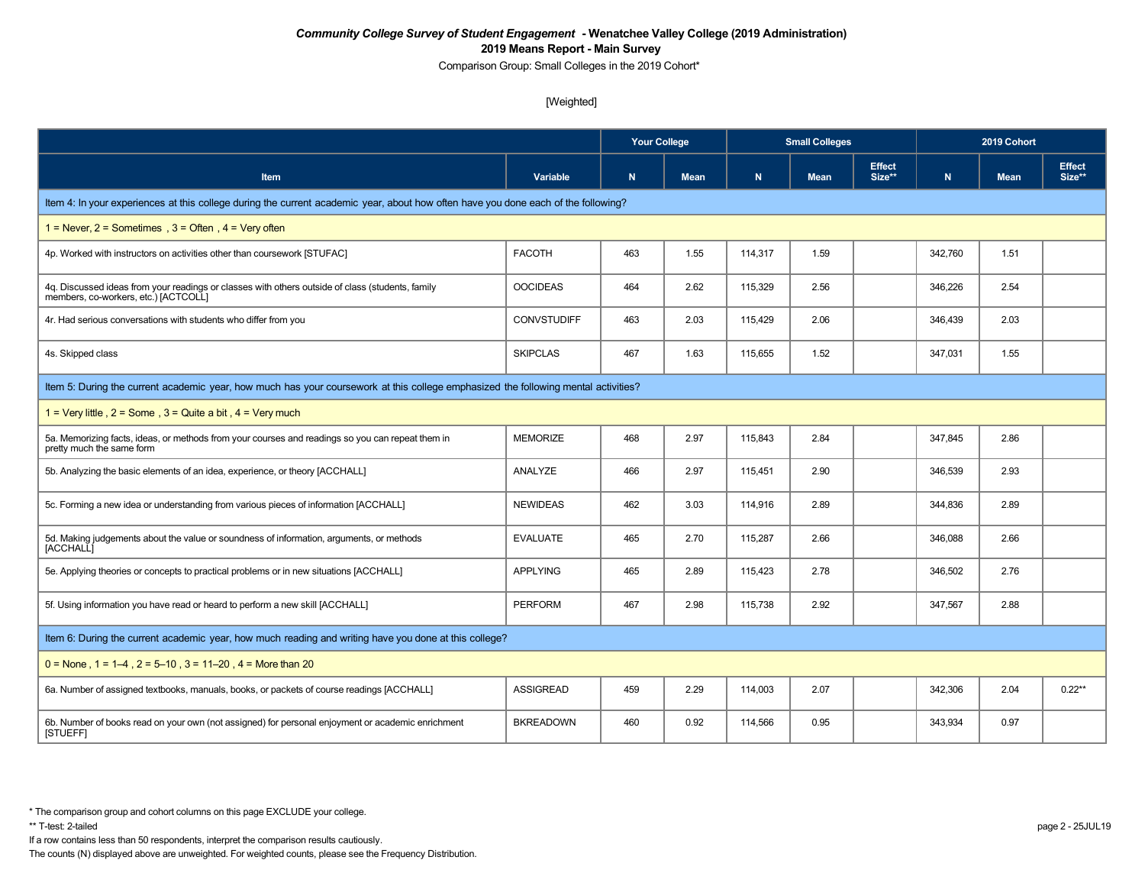Comparison Group: Small Colleges in the 2019 Cohort\*

### [Weighted]

|                                                                                                                                          |                    | <b>Your College</b> |             |         | <b>Small Colleges</b> |                         | 2019 Cohort |             |                         |  |  |
|------------------------------------------------------------------------------------------------------------------------------------------|--------------------|---------------------|-------------|---------|-----------------------|-------------------------|-------------|-------------|-------------------------|--|--|
| <b>Item</b>                                                                                                                              | Variable           | $\mathbf N$         | <b>Mean</b> | N       | <b>Mean</b>           | <b>Effect</b><br>Size** | N           | <b>Mean</b> | <b>Effect</b><br>Size** |  |  |
| Item 4: In your experiences at this college during the current academic year, about how often have you done each of the following?       |                    |                     |             |         |                       |                         |             |             |                         |  |  |
| 1 = Never, $2$ = Sometimes, $3$ = Often, $4$ = Very often                                                                                |                    |                     |             |         |                       |                         |             |             |                         |  |  |
| 4p. Worked with instructors on activities other than coursework [STUFAC]                                                                 | <b>FACOTH</b>      | 463                 | 1.55        | 114,317 | 1.59                  |                         | 342,760     | 1.51        |                         |  |  |
| 4q. Discussed ideas from your readings or classes with others outside of class (students, family<br>members, co-workers, etc.) [ACTCOLL] | <b>OOCIDEAS</b>    | 464                 | 2.62        | 115,329 | 2.56                  |                         | 346,226     | 2.54        |                         |  |  |
| 4r. Had serious conversations with students who differ from you                                                                          | <b>CONVSTUDIFF</b> | 463                 | 2.03        | 115,429 | 2.06                  |                         | 346,439     | 2.03        |                         |  |  |
| 4s. Skipped class                                                                                                                        | <b>SKIPCLAS</b>    | 467                 | 1.63        | 115,655 | 1.52                  |                         | 347,031     | 1.55        |                         |  |  |
| Item 5: During the current academic year, how much has your coursework at this college emphasized the following mental activities?       |                    |                     |             |         |                       |                         |             |             |                         |  |  |
| 1 = Very little, $2 =$ Some, $3 =$ Quite a bit, $4 =$ Very much                                                                          |                    |                     |             |         |                       |                         |             |             |                         |  |  |
| 5a. Memorizing facts, ideas, or methods from your courses and readings so you can repeat them in<br>pretty much the same form            | <b>MEMORIZE</b>    | 468                 | 2.97        | 115,843 | 2.84                  |                         | 347,845     | 2.86        |                         |  |  |
| 5b. Analyzing the basic elements of an idea, experience, or theory [ACCHALL]                                                             | ANALYZE            | 466                 | 2.97        | 115,451 | 2.90                  |                         | 346,539     | 2.93        |                         |  |  |
| 5c. Forming a new idea or understanding from various pieces of information [ACCHALL]                                                     | <b>NEWIDEAS</b>    | 462                 | 3.03        | 114,916 | 2.89                  |                         | 344,836     | 2.89        |                         |  |  |
| 5d. Making judgements about the value or soundness of information, arguments, or methods<br>[ACCHALL]                                    | <b>EVALUATE</b>    | 465                 | 2.70        | 115,287 | 2.66                  |                         | 346,088     | 2.66        |                         |  |  |
| 5e. Applying theories or concepts to practical problems or in new situations [ACCHALL]                                                   | <b>APPLYING</b>    | 465                 | 2.89        | 115,423 | 2.78                  |                         | 346,502     | 2.76        |                         |  |  |
| 5f. Using information you have read or heard to perform a new skill [ACCHALL]                                                            | <b>PERFORM</b>     | 467                 | 2.98        | 115,738 | 2.92                  |                         | 347,567     | 2.88        |                         |  |  |
| Item 6: During the current academic year, how much reading and writing have you done at this college?                                    |                    |                     |             |         |                       |                         |             |             |                         |  |  |
| $0 =$ None, 1 = 1–4, 2 = 5–10, 3 = 11–20, 4 = More than 20                                                                               |                    |                     |             |         |                       |                         |             |             |                         |  |  |
| 6a. Number of assigned textbooks, manuals, books, or packets of course readings [ACCHALL]                                                | <b>ASSIGREAD</b>   | 459                 | 2.29        | 114,003 | 2.07                  |                         | 342,306     | 2.04        | $0.22**$                |  |  |
| 6b. Number of books read on your own (not assigned) for personal enjoyment or academic enrichment<br>[STUEFF]                            | <b>BKREADOWN</b>   | 460                 | 0.92        | 114,566 | 0.95                  |                         | 343,934     | 0.97        |                         |  |  |

If a row contains less than 50 respondents, interpret the comparison results cautiously.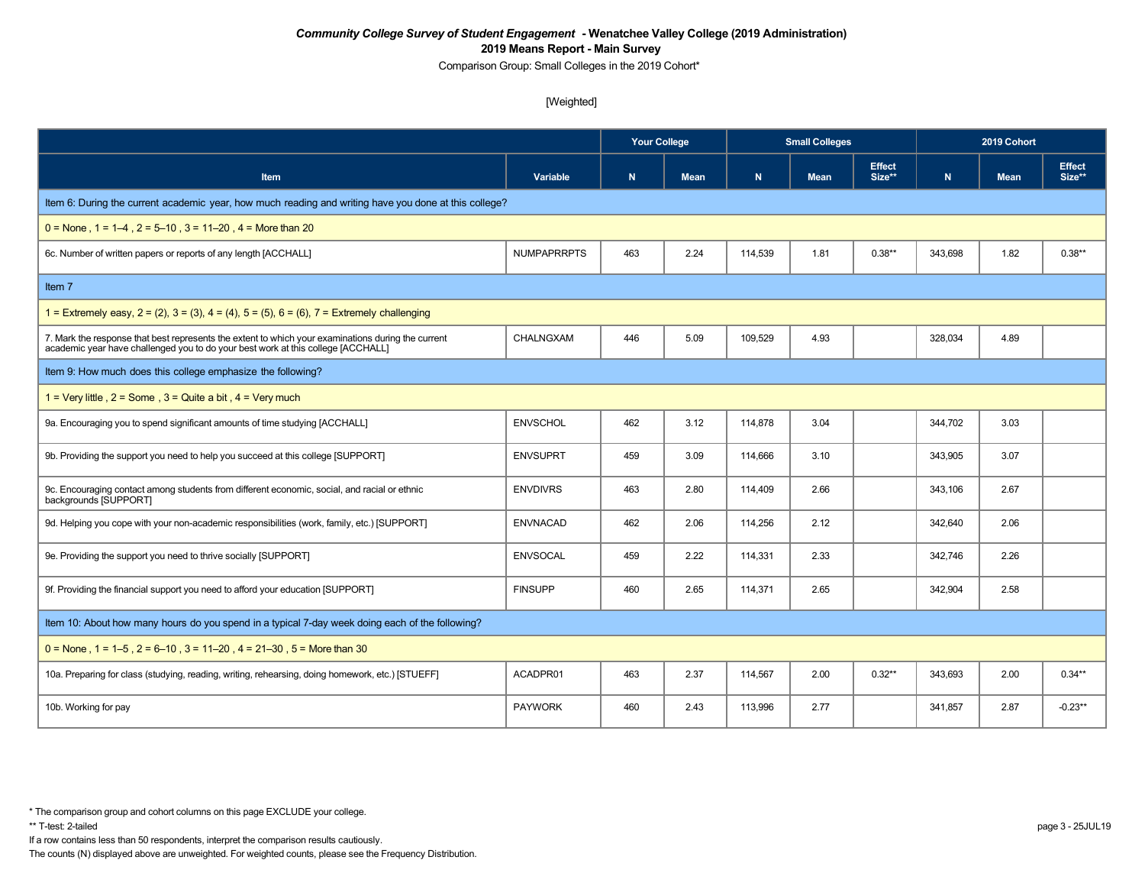Comparison Group: Small Colleges in the 2019 Cohort\*

### [Weighted]

|                                                                                                                                                                                        |                    | <b>Your College</b> |             | <b>Small Colleges</b> |             |                         | 2019 Cohort |             |                         |  |
|----------------------------------------------------------------------------------------------------------------------------------------------------------------------------------------|--------------------|---------------------|-------------|-----------------------|-------------|-------------------------|-------------|-------------|-------------------------|--|
| <b>Item</b>                                                                                                                                                                            | Variable           | N                   | <b>Mean</b> | N                     | <b>Mean</b> | <b>Effect</b><br>Size** | N           | <b>Mean</b> | <b>Effect</b><br>Size** |  |
| Item 6: During the current academic year, how much reading and writing have you done at this college?                                                                                  |                    |                     |             |                       |             |                         |             |             |                         |  |
| $0 =$ None, $1 = 1-4$ , $2 = 5-10$ , $3 = 11-20$ , $4 =$ More than 20                                                                                                                  |                    |                     |             |                       |             |                         |             |             |                         |  |
| 6c. Number of written papers or reports of any length [ACCHALL]                                                                                                                        | <b>NUMPAPRRPTS</b> | 463                 | 2.24        | 114,539               | 1.81        | $0.38**$                | 343,698     | 1.82        | $0.38**$                |  |
| Item 7                                                                                                                                                                                 |                    |                     |             |                       |             |                         |             |             |                         |  |
| 1 = Extremely easy, $2 = (2)$ , $3 = (3)$ , $4 = (4)$ , $5 = (5)$ , $6 = (6)$ , $7 =$ Extremely challenging                                                                            |                    |                     |             |                       |             |                         |             |             |                         |  |
| 7. Mark the response that best represents the extent to which your examinations during the current<br>academic year have challenged you to do your best work at this college [ACCHALL] | CHALNGXAM          | 446                 | 5.09        | 109,529               | 4.93        |                         | 328,034     | 4.89        |                         |  |
| Item 9: How much does this college emphasize the following?                                                                                                                            |                    |                     |             |                       |             |                         |             |             |                         |  |
| 1 = Very little, $2 =$ Some, $3 =$ Quite a bit, $4 =$ Very much                                                                                                                        |                    |                     |             |                       |             |                         |             |             |                         |  |
| 9a. Encouraging you to spend significant amounts of time studying [ACCHALL]                                                                                                            | <b>ENVSCHOL</b>    | 462                 | 3.12        | 114,878               | 3.04        |                         | 344,702     | 3.03        |                         |  |
| 9b. Providing the support you need to help you succeed at this college [SUPPORT]                                                                                                       | <b>ENVSUPRT</b>    | 459                 | 3.09        | 114.666               | 3.10        |                         | 343.905     | 3.07        |                         |  |
| 9c. Encouraging contact among students from different economic, social, and racial or ethnic<br>backgrounds [SUPPORT]                                                                  | <b>ENVDIVRS</b>    | 463                 | 2.80        | 114,409               | 2.66        |                         | 343,106     | 2.67        |                         |  |
| 9d. Helping you cope with your non-academic responsibilities (work, family, etc.) [SUPPORT]                                                                                            | <b>ENVNACAD</b>    | 462                 | 2.06        | 114,256               | 2.12        |                         | 342,640     | 2.06        |                         |  |
| 9e. Providing the support you need to thrive socially [SUPPORT]                                                                                                                        | <b>ENVSOCAL</b>    | 459                 | 2.22        | 114,331               | 2.33        |                         | 342,746     | 2.26        |                         |  |
| 9f. Providing the financial support you need to afford your education [SUPPORT]                                                                                                        | <b>FINSUPP</b>     | 460                 | 2.65        | 114,371               | 2.65        |                         | 342,904     | 2.58        |                         |  |
| Item 10: About how many hours do you spend in a typical 7-day week doing each of the following?                                                                                        |                    |                     |             |                       |             |                         |             |             |                         |  |
| $0 =$ None, 1 = 1–5, 2 = 6–10, 3 = 11–20, 4 = 21–30, 5 = More than 30                                                                                                                  |                    |                     |             |                       |             |                         |             |             |                         |  |
| 10a. Preparing for class (studying, reading, writing, rehearsing, doing homework, etc.) [STUEFF]                                                                                       | ACADPR01           | 463                 | 2.37        | 114,567               | 2.00        | $0.32**$                | 343,693     | 2.00        | $0.34**$                |  |
| 10b. Working for pay                                                                                                                                                                   | <b>PAYWORK</b>     | 460                 | 2.43        | 113,996               | 2.77        |                         | 341.857     | 2.87        | $-0.23**$               |  |

If a row contains less than 50 respondents, interpret the comparison results cautiously.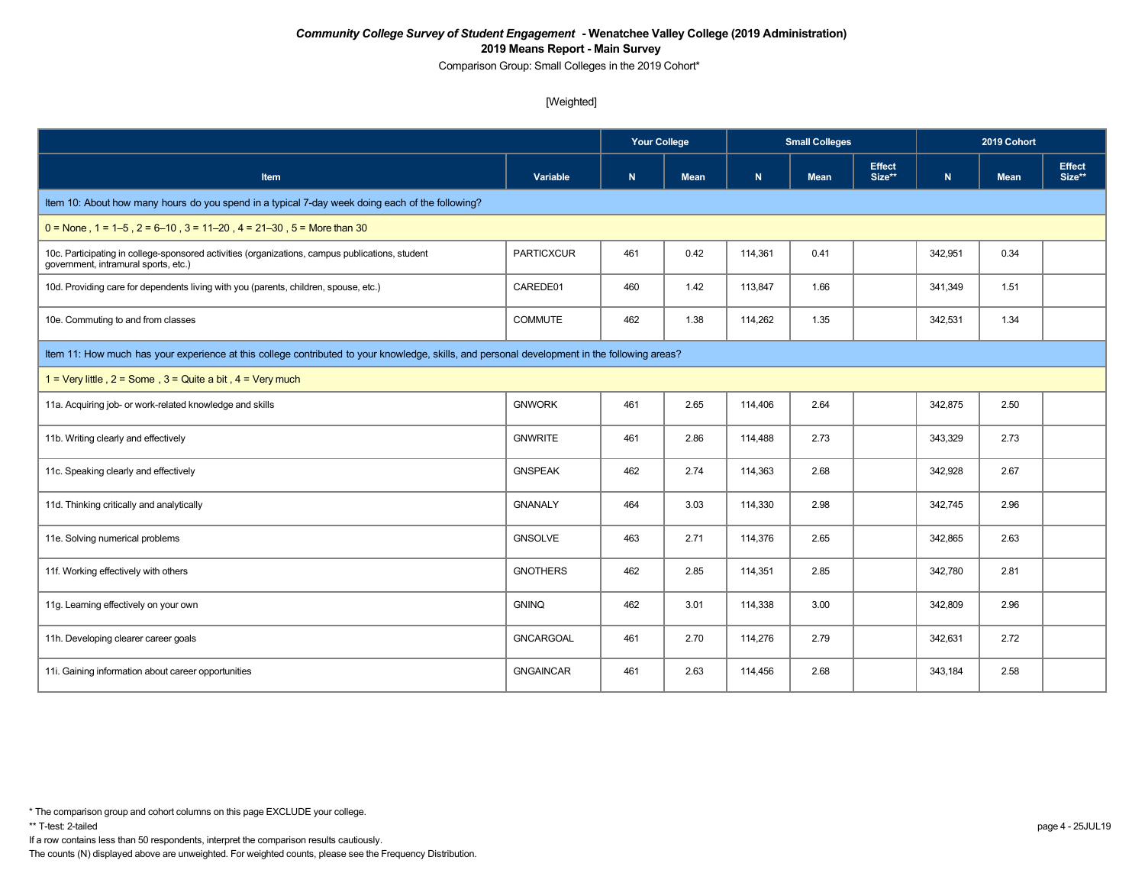Comparison Group: Small Colleges in the 2019 Cohort\*

### [Weighted]

|                                                                                                                                               |                   | <b>Your College</b> |             | <b>Small Colleges</b> |             |                         | 2019 Cohort |             |                         |  |
|-----------------------------------------------------------------------------------------------------------------------------------------------|-------------------|---------------------|-------------|-----------------------|-------------|-------------------------|-------------|-------------|-------------------------|--|
| <b>Item</b>                                                                                                                                   | Variable          | N                   | <b>Mean</b> | N                     | <b>Mean</b> | <b>Effect</b><br>Size** | N           | <b>Mean</b> | <b>Effect</b><br>Size** |  |
| Item 10: About how many hours do you spend in a typical 7-day week doing each of the following?                                               |                   |                     |             |                       |             |                         |             |             |                         |  |
| $0 =$ None, 1 = 1–5, 2 = 6–10, 3 = 11–20, 4 = 21–30, 5 = More than 30                                                                         |                   |                     |             |                       |             |                         |             |             |                         |  |
| 10c. Participating in college-sponsored activities (organizations, campus publications, student<br>government, intramural sports, etc.)       | <b>PARTICXCUR</b> | 461                 | 0.42        | 114,361               | 0.41        |                         | 342,951     | 0.34        |                         |  |
| 10d. Providing care for dependents living with you (parents, children, spouse, etc.)                                                          | CAREDE01          | 460                 | 1.42        | 113,847               | 1.66        |                         | 341,349     | 1.51        |                         |  |
| 10e. Commuting to and from classes                                                                                                            | <b>COMMUTE</b>    | 462                 | 1.38        | 114,262               | 1.35        |                         | 342,531     | 1.34        |                         |  |
| Item 11: How much has your experience at this college contributed to your knowledge, skills, and personal development in the following areas? |                   |                     |             |                       |             |                         |             |             |                         |  |
| 1 = Very little, $2 =$ Some, $3 =$ Quite a bit, $4 =$ Very much                                                                               |                   |                     |             |                       |             |                         |             |             |                         |  |
| 11a. Acquiring job- or work-related knowledge and skills                                                                                      | <b>GNWORK</b>     | 461                 | 2.65        | 114,406               | 2.64        |                         | 342,875     | 2.50        |                         |  |
| 11b. Writing clearly and effectively                                                                                                          | <b>GNWRITE</b>    | 461                 | 2.86        | 114,488               | 2.73        |                         | 343,329     | 2.73        |                         |  |
| 11c. Speaking clearly and effectively                                                                                                         | <b>GNSPEAK</b>    | 462                 | 2.74        | 114,363               | 2.68        |                         | 342,928     | 2.67        |                         |  |
| 11d. Thinking critically and analytically                                                                                                     | <b>GNANALY</b>    | 464                 | 3.03        | 114,330               | 2.98        |                         | 342,745     | 2.96        |                         |  |
| 11e. Solving numerical problems                                                                                                               | <b>GNSOLVE</b>    | 463                 | 2.71        | 114,376               | 2.65        |                         | 342,865     | 2.63        |                         |  |
| 11f. Working effectively with others                                                                                                          | <b>GNOTHERS</b>   | 462                 | 2.85        | 114,351               | 2.85        |                         | 342,780     | 2.81        |                         |  |
| 11g. Learning effectively on your own                                                                                                         | <b>GNINQ</b>      | 462                 | 3.01        | 114,338               | 3.00        |                         | 342,809     | 2.96        |                         |  |
| 11h. Developing clearer career goals                                                                                                          | <b>GNCARGOAL</b>  | 461                 | 2.70        | 114,276               | 2.79        |                         | 342,631     | 2.72        |                         |  |
| 11i. Gaining information about career opportunities                                                                                           | <b>GNGAINCAR</b>  | 461                 | 2.63        | 114,456               | 2.68        |                         | 343,184     | 2.58        |                         |  |

If a row contains less than 50 respondents, interpret the comparison results cautiously.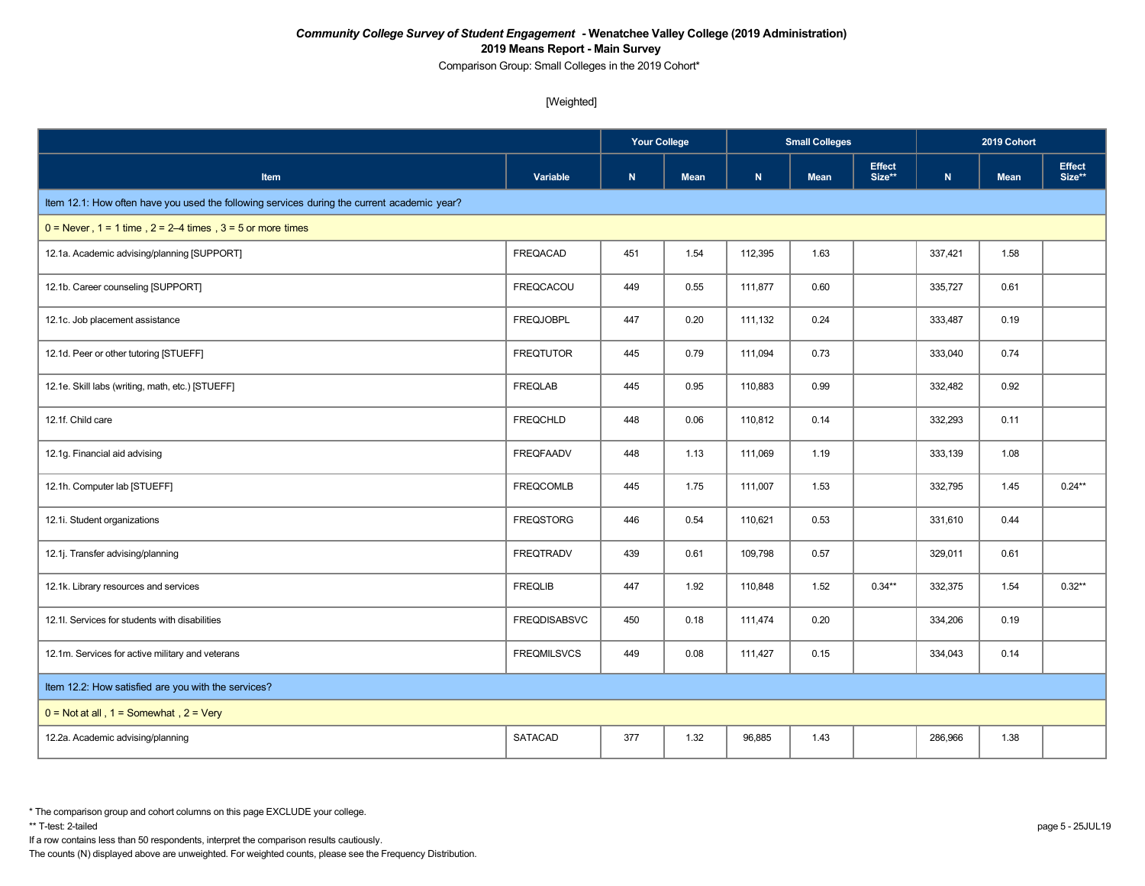Comparison Group: Small Colleges in the 2019 Cohort\*

[Weighted]

|                                                                                             |                     |             | <b>Your College</b> |         | <b>Small Colleges</b> |                         |           | 2019 Cohort |                         |  |
|---------------------------------------------------------------------------------------------|---------------------|-------------|---------------------|---------|-----------------------|-------------------------|-----------|-------------|-------------------------|--|
| <b>Item</b>                                                                                 | Variable            | $\mathbf N$ | <b>Mean</b>         | N       | <b>Mean</b>           | <b>Effect</b><br>Size** | ${\bf N}$ | <b>Mean</b> | <b>Effect</b><br>Size** |  |
| Item 12.1: How often have you used the following services during the current academic year? |                     |             |                     |         |                       |                         |           |             |                         |  |
| $0 =$ Never, 1 = 1 time, 2 = 2–4 times, 3 = 5 or more times                                 |                     |             |                     |         |                       |                         |           |             |                         |  |
| 12.1a. Academic advising/planning [SUPPORT]                                                 | <b>FREQACAD</b>     | 451         | 1.54                | 112,395 | 1.63                  |                         | 337,421   | 1.58        |                         |  |
| 12.1b. Career counseling [SUPPORT]                                                          | FREQCACOU           | 449         | 0.55                | 111,877 | 0.60                  |                         | 335,727   | 0.61        |                         |  |
| 12.1c. Job placement assistance                                                             | <b>FREQJOBPL</b>    | 447         | 0.20                | 111,132 | 0.24                  |                         | 333,487   | 0.19        |                         |  |
| 12.1d. Peer or other tutoring [STUEFF]                                                      | <b>FREQTUTOR</b>    | 445         | 0.79                | 111,094 | 0.73                  |                         | 333,040   | 0.74        |                         |  |
| 12.1e. Skill labs (writing, math, etc.) [STUEFF]                                            | <b>FREQLAB</b>      | 445         | 0.95                | 110,883 | 0.99                  |                         | 332,482   | 0.92        |                         |  |
| 12.1f. Child care                                                                           | <b>FREQCHLD</b>     | 448         | 0.06                | 110,812 | 0.14                  |                         | 332,293   | 0.11        |                         |  |
| 12.1g. Financial aid advising                                                               | <b>FREQFAADV</b>    | 448         | 1.13                | 111,069 | 1.19                  |                         | 333,139   | 1.08        |                         |  |
| 12.1h. Computer lab [STUEFF]                                                                | <b>FREQCOMLB</b>    | 445         | 1.75                | 111,007 | 1.53                  |                         | 332,795   | 1.45        | $0.24**$                |  |
| 12.1i. Student organizations                                                                | <b>FREQSTORG</b>    | 446         | 0.54                | 110,621 | 0.53                  |                         | 331,610   | 0.44        |                         |  |
| 12.1j. Transfer advising/planning                                                           | <b>FREQTRADV</b>    | 439         | 0.61                | 109,798 | 0.57                  |                         | 329,011   | 0.61        |                         |  |
| 12.1k. Library resources and services                                                       | <b>FREQLIB</b>      | 447         | 1.92                | 110,848 | 1.52                  | $0.34**$                | 332,375   | 1.54        | $0.32**$                |  |
| 12.1l. Services for students with disabilities                                              | <b>FREQDISABSVC</b> | 450         | 0.18                | 111,474 | 0.20                  |                         | 334,206   | 0.19        |                         |  |
| 12.1m. Services for active military and veterans                                            | <b>FREQMILSVCS</b>  | 449         | 0.08                | 111,427 | 0.15                  |                         | 334,043   | 0.14        |                         |  |
| Item 12.2: How satisfied are you with the services?                                         |                     |             |                     |         |                       |                         |           |             |                         |  |
| $0 = Not at all$ , $1 = Somewhat$ , $2 = Very$                                              |                     |             |                     |         |                       |                         |           |             |                         |  |
| 12.2a. Academic advising/planning                                                           | <b>SATACAD</b>      | 377         | 1.32                | 96,885  | 1.43                  |                         | 286,966   | 1.38        |                         |  |

If a row contains less than 50 respondents, interpret the comparison results cautiously.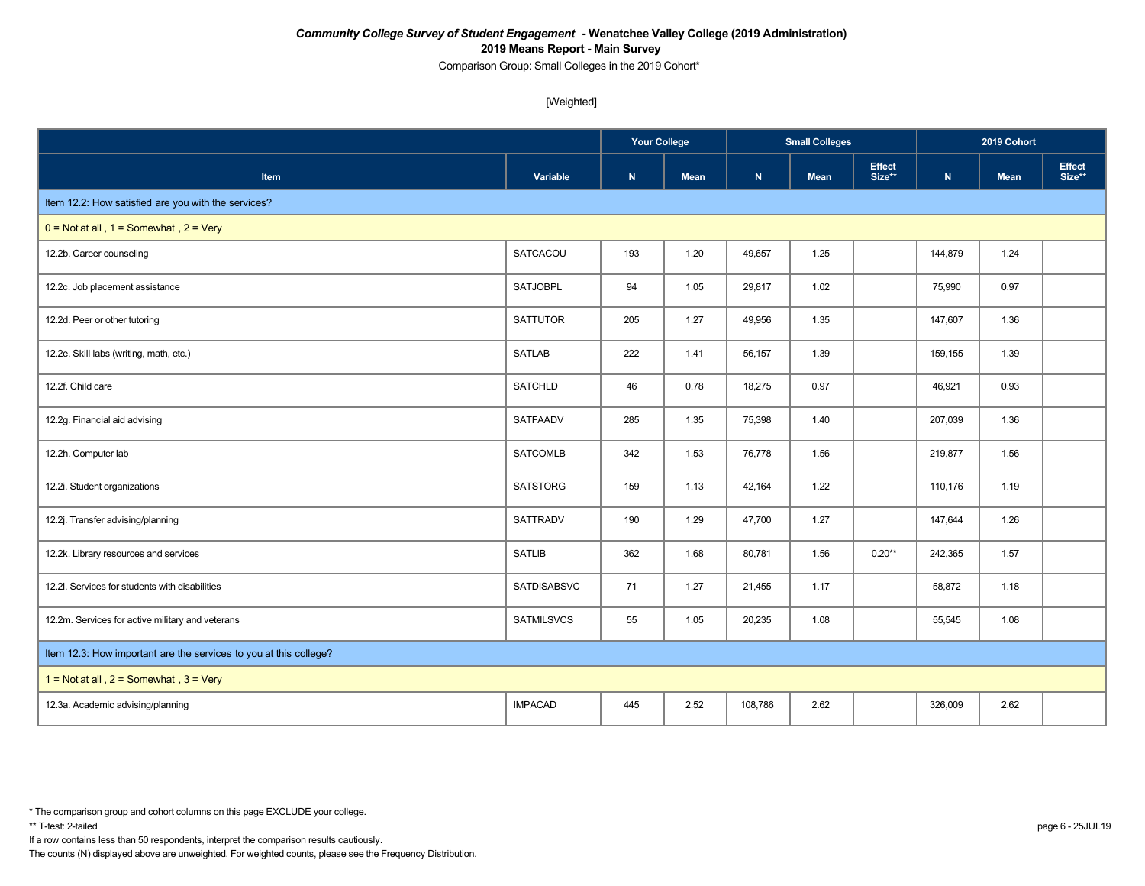Comparison Group: Small Colleges in the 2019 Cohort\*

[Weighted]

|                                                                   |                    | <b>Your College</b> |             | <b>Small Colleges</b> |             |                         | 2019 Cohort |             |                         |
|-------------------------------------------------------------------|--------------------|---------------------|-------------|-----------------------|-------------|-------------------------|-------------|-------------|-------------------------|
| Item                                                              | Variable           | ${\bf N}$           | <b>Mean</b> | N                     | <b>Mean</b> | <b>Effect</b><br>Size** | ${\bf N}$   | <b>Mean</b> | <b>Effect</b><br>Size** |
| Item 12.2: How satisfied are you with the services?               |                    |                     |             |                       |             |                         |             |             |                         |
| $0 = Not at all$ , $1 = Somewhat$ , $2 = Very$                    |                    |                     |             |                       |             |                         |             |             |                         |
| 12.2b. Career counseling                                          | SATCACOU           | 193                 | 1.20        | 49,657                | 1.25        |                         | 144,879     | 1.24        |                         |
| 12.2c. Job placement assistance                                   | <b>SATJOBPL</b>    | 94                  | 1.05        | 29,817                | 1.02        |                         | 75,990      | 0.97        |                         |
| 12.2d. Peer or other tutoring                                     | <b>SATTUTOR</b>    | 205                 | 1.27        | 49,956                | 1.35        |                         | 147,607     | 1.36        |                         |
| 12.2e. Skill labs (writing, math, etc.)                           | <b>SATLAB</b>      | 222                 | 1.41        | 56,157                | 1.39        |                         | 159,155     | 1.39        |                         |
| 12.2f. Child care                                                 | <b>SATCHLD</b>     | 46                  | 0.78        | 18,275                | 0.97        |                         | 46,921      | 0.93        |                         |
| 12.2g. Financial aid advising                                     | SATFAADV           | 285                 | 1.35        | 75,398                | 1.40        |                         | 207,039     | 1.36        |                         |
| 12.2h. Computer lab                                               | <b>SATCOMLB</b>    | 342                 | 1.53        | 76,778                | 1.56        |                         | 219,877     | 1.56        |                         |
| 12.2i. Student organizations                                      | <b>SATSTORG</b>    | 159                 | 1.13        | 42,164                | 1.22        |                         | 110,176     | 1.19        |                         |
| 12.2j. Transfer advising/planning                                 | <b>SATTRADV</b>    | 190                 | 1.29        | 47,700                | 1.27        |                         | 147,644     | 1.26        |                         |
| 12.2k. Library resources and services                             | <b>SATLIB</b>      | 362                 | 1.68        | 80,781                | 1.56        | $0.20**$                | 242,365     | 1.57        |                         |
| 12.2l. Services for students with disabilities                    | <b>SATDISABSVC</b> | 71                  | 1.27        | 21,455                | 1.17        |                         | 58,872      | 1.18        |                         |
| 12.2m. Services for active military and veterans                  | <b>SATMILSVCS</b>  | 55                  | 1.05        | 20,235                | 1.08        |                         | 55,545      | 1.08        |                         |
| Item 12.3: How important are the services to you at this college? |                    |                     |             |                       |             |                         |             |             |                         |
| 1 = Not at all, $2 =$ Somewhat, $3 =$ Very                        |                    |                     |             |                       |             |                         |             |             |                         |
| 12.3a. Academic advising/planning                                 | <b>IMPACAD</b>     | 445                 | 2.52        | 108,786               | 2.62        |                         | 326,009     | 2.62        |                         |

If a row contains less than 50 respondents, interpret the comparison results cautiously.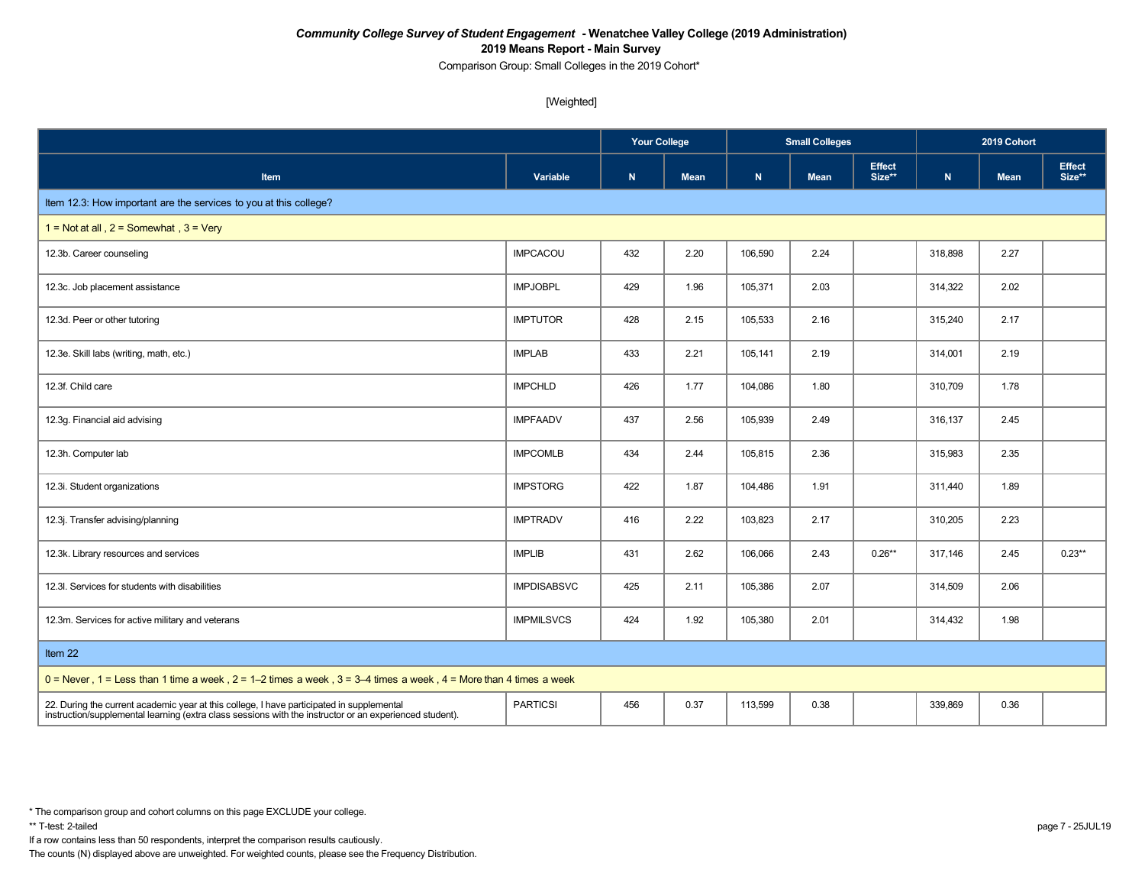Comparison Group: Small Colleges in the 2019 Cohort\*

[Weighted]

|                                                                                                                                                                                                      |                    | <b>Your College</b> |             |         | <b>Small Colleges</b> |                         | 2019 Cohort |             |                         |
|------------------------------------------------------------------------------------------------------------------------------------------------------------------------------------------------------|--------------------|---------------------|-------------|---------|-----------------------|-------------------------|-------------|-------------|-------------------------|
| Item                                                                                                                                                                                                 | Variable           | $\mathbf N$         | <b>Mean</b> | N       | <b>Mean</b>           | <b>Effect</b><br>Size** | ${\bf N}$   | <b>Mean</b> | <b>Effect</b><br>Size** |
| Item 12.3: How important are the services to you at this college?                                                                                                                                    |                    |                     |             |         |                       |                         |             |             |                         |
| 1 = Not at all, $2 =$ Somewhat, $3 =$ Very                                                                                                                                                           |                    |                     |             |         |                       |                         |             |             |                         |
| 12.3b. Career counseling                                                                                                                                                                             | <b>IMPCACOU</b>    | 432                 | 2.20        | 106,590 | 2.24                  |                         | 318,898     | 2.27        |                         |
| 12.3c. Job placement assistance                                                                                                                                                                      | <b>IMPJOBPL</b>    | 429                 | 1.96        | 105,371 | 2.03                  |                         | 314,322     | 2.02        |                         |
| 12.3d. Peer or other tutoring                                                                                                                                                                        | <b>IMPTUTOR</b>    | 428                 | 2.15        | 105,533 | 2.16                  |                         | 315,240     | 2.17        |                         |
| 12.3e. Skill labs (writing, math, etc.)                                                                                                                                                              | <b>IMPLAB</b>      | 433                 | 2.21        | 105,141 | 2.19                  |                         | 314,001     | 2.19        |                         |
| 12.3f. Child care                                                                                                                                                                                    | <b>IMPCHLD</b>     | 426                 | 1.77        | 104,086 | 1.80                  |                         | 310,709     | 1.78        |                         |
| 12.3g. Financial aid advising                                                                                                                                                                        | <b>IMPFAADV</b>    | 437                 | 2.56        | 105,939 | 2.49                  |                         | 316,137     | 2.45        |                         |
| 12.3h. Computer lab                                                                                                                                                                                  | <b>IMPCOMLB</b>    | 434                 | 2.44        | 105,815 | 2.36                  |                         | 315,983     | 2.35        |                         |
| 12.3i. Student organizations                                                                                                                                                                         | <b>IMPSTORG</b>    | 422                 | 1.87        | 104,486 | 1.91                  |                         | 311,440     | 1.89        |                         |
| 12.3j. Transfer advising/planning                                                                                                                                                                    | <b>IMPTRADV</b>    | 416                 | 2.22        | 103,823 | 2.17                  |                         | 310,205     | 2.23        |                         |
| 12.3k. Library resources and services                                                                                                                                                                | <b>IMPLIB</b>      | 431                 | 2.62        | 106,066 | 2.43                  | $0.26**$                | 317,146     | 2.45        | $0.23**$                |
| 12.3I. Services for students with disabilities                                                                                                                                                       | <b>IMPDISABSVC</b> | 425                 | 2.11        | 105,386 | 2.07                  |                         | 314,509     | 2.06        |                         |
| 12.3m. Services for active military and veterans                                                                                                                                                     | <b>IMPMILSVCS</b>  | 424                 | 1.92        | 105,380 | 2.01                  |                         | 314,432     | 1.98        |                         |
| Item 22                                                                                                                                                                                              |                    |                     |             |         |                       |                         |             |             |                         |
| $0 =$ Never, 1 = Less than 1 time a week, 2 = 1–2 times a week, 3 = 3–4 times a week, 4 = More than 4 times a week                                                                                   |                    |                     |             |         |                       |                         |             |             |                         |
| 22. During the current academic year at this college, I have participated in supplemental<br>instruction/supplemental learning (extra class sessions with the instructor or an experienced student). | <b>PARTICSI</b>    | 456                 | 0.37        | 113,599 | 0.38                  |                         | 339,869     | 0.36        |                         |

\* The comparison group and cohort columns on this page EXCLUDE your college.

If a row contains less than 50 respondents, interpret the comparison results cautiously.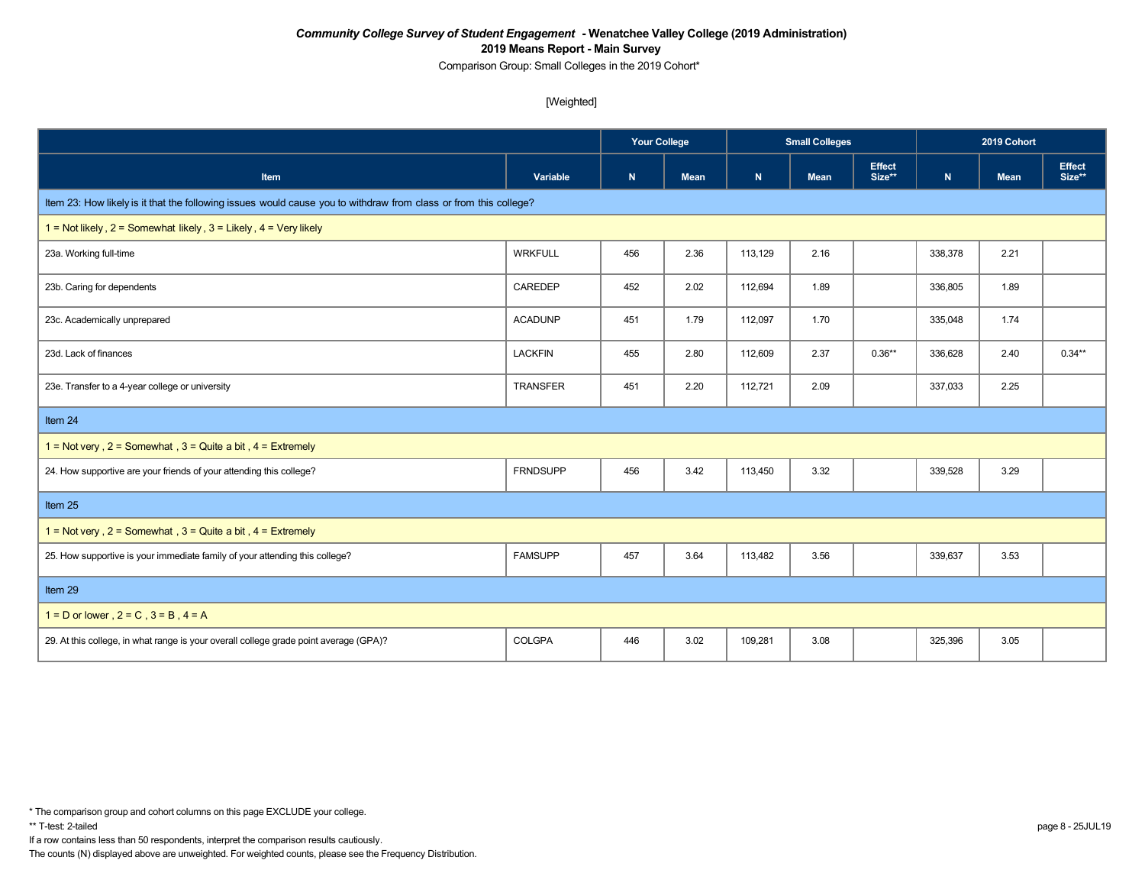Comparison Group: Small Colleges in the 2019 Cohort\*

[Weighted]

|                                                                                                                  |                 | <b>Your College</b> |             | <b>Small Colleges</b> |             |                         | 2019 Cohort |      |                         |  |  |
|------------------------------------------------------------------------------------------------------------------|-----------------|---------------------|-------------|-----------------------|-------------|-------------------------|-------------|------|-------------------------|--|--|
| Item                                                                                                             | Variable        | ${\bf N}$           | <b>Mean</b> | $\mathbf{N}$          | <b>Mean</b> | <b>Effect</b><br>Size** | ${\bf N}$   | Mean | <b>Effect</b><br>Size** |  |  |
| Item 23: How likely is it that the following issues would cause you to withdraw from class or from this college? |                 |                     |             |                       |             |                         |             |      |                         |  |  |
| 1 = Not likely, $2 =$ Somewhat likely, $3 =$ Likely, $4 =$ Very likely                                           |                 |                     |             |                       |             |                         |             |      |                         |  |  |
| 23a. Working full-time                                                                                           | <b>WRKFULL</b>  | 456                 | 2.36        | 113,129               | 2.16        |                         | 338,378     | 2.21 |                         |  |  |
| 23b. Caring for dependents                                                                                       | CAREDEP         | 452                 | 2.02        | 112,694               | 1.89        |                         | 336,805     | 1.89 |                         |  |  |
| 23c. Academically unprepared                                                                                     | <b>ACADUNP</b>  | 451                 | 1.79        | 112,097               | 1.70        |                         | 335,048     | 1.74 |                         |  |  |
| 23d. Lack of finances                                                                                            | <b>LACKFIN</b>  | 455                 | 2.80        | 112,609               | 2.37        | $0.36**$                | 336,628     | 2.40 | $0.34**$                |  |  |
| 23e. Transfer to a 4-year college or university                                                                  | <b>TRANSFER</b> | 451                 | 2.20        | 112,721               | 2.09        |                         | 337,033     | 2.25 |                         |  |  |
| Item 24                                                                                                          |                 |                     |             |                       |             |                         |             |      |                         |  |  |
| 1 = Not very, $2 =$ Somewhat, $3 =$ Quite a bit, $4 =$ Extremely                                                 |                 |                     |             |                       |             |                         |             |      |                         |  |  |
| 24. How supportive are your friends of your attending this college?                                              | <b>FRNDSUPP</b> | 456                 | 3.42        | 113,450               | 3.32        |                         | 339,528     | 3.29 |                         |  |  |
| Item 25                                                                                                          |                 |                     |             |                       |             |                         |             |      |                         |  |  |
| $1 = Not very$ , $2 = Somewhat$ , $3 = Quite$ a bit, $4 = Extremely$                                             |                 |                     |             |                       |             |                         |             |      |                         |  |  |
| 25. How supportive is your immediate family of your attending this college?                                      | <b>FAMSUPP</b>  | 457                 | 3.64        | 113,482               | 3.56        |                         | 339,637     | 3.53 |                         |  |  |
| Item 29                                                                                                          |                 |                     |             |                       |             |                         |             |      |                         |  |  |
| $1 = D$ or lower, $2 = C$ , $3 = B$ , $4 = A$                                                                    |                 |                     |             |                       |             |                         |             |      |                         |  |  |
| 29. At this college, in what range is your overall college grade point average (GPA)?                            | COLGPA          | 446                 | 3.02        | 109,281               | 3.08        |                         | 325,396     | 3.05 |                         |  |  |

If a row contains less than 50 respondents, interpret the comparison results cautiously.